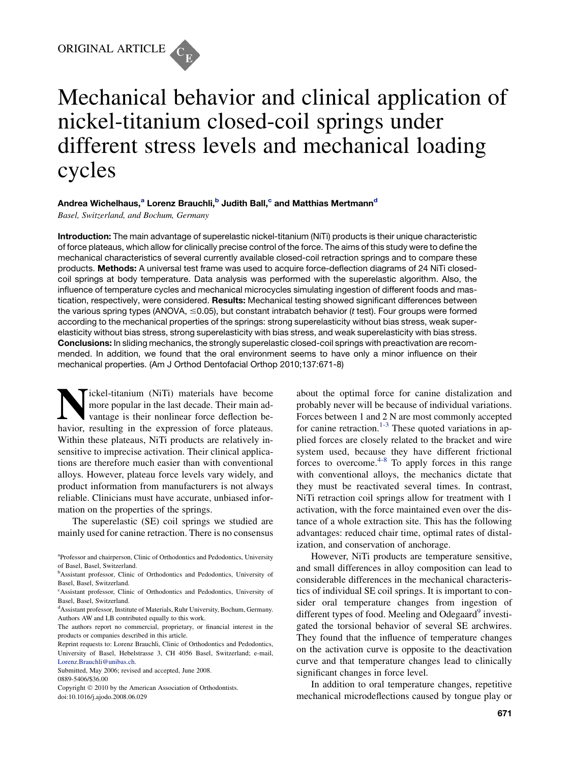

# Mechanical behavior and clinical application of nickel-titanium closed-coil springs under different stress levels and mechanical loading cycles

# Andrea Wichelhaus,<sup>a</sup> Lorenz Brauchli,<sup>b</sup> Judith Ball,<sup>c</sup> and Matthias Mertmann<sup>d</sup>

Basel, Switzerland, and Bochum, Germany

Introduction: The main advantage of superelastic nickel-titanium (NiTi) products is their unique characteristic of force plateaus, which allow for clinically precise control of the force. The aims of this study were to define the mechanical characteristics of several currently available closed-coil retraction springs and to compare these products. Methods: A universal test frame was used to acquire force-deflection diagrams of 24 NiTi closedcoil springs at body temperature. Data analysis was performed with the superelastic algorithm. Also, the influence of temperature cycles and mechanical microcycles simulating ingestion of different foods and mastication, respectively, were considered. Results: Mechanical testing showed significant differences between the various spring types (ANOVA,  $\leq$ 0.05), but constant intrabatch behavior (*t* test). Four groups were formed according to the mechanical properties of the springs: strong superelasticity without bias stress, weak superelasticity without bias stress, strong superelasticity with bias stress, and weak superelasticity with bias stress. Conclusions: In sliding mechanics, the strongly superelastic closed-coil springs with preactivation are recommended. In addition, we found that the oral environment seems to have only a minor influence on their mechanical properties. (Am J Orthod Dentofacial Orthop 2010;137:671-8)

ickel-titanium (NiTi) materials have become more popular in the last decade. Their main advantage is their nonlinear force deflection behavior, resulting in the expression of force plateaus. Within these plateaus, NiTi products are relatively insensitive to imprecise activation. Their clinical applications are therefore much easier than with conventional alloys. However, plateau force levels vary widely, and product information from manufacturers is not always reliable. Clinicians must have accurate, unbiased information on the properties of the springs.

The superelastic (SE) coil springs we studied are mainly used for canine retraction. There is no consensus

Reprint requests to: Lorenz Brauchli, Clinic of Orthodontics and Pedodontics, University of Basel, Hebelstrasse 3, CH 4056 Basel, Switzerland; e-mail, [Lorenz.Brauchli@unibas.ch](mailto:Lorenz.Brauchli@unibas.ch).

Submitted, May 2006; revised and accepted, June 2008. 0889-5406/\$36.00

Copyright © 2010 by the American Association of Orthodontists. doi:10.1016/j.ajodo.2008.06.029

about the optimal force for canine distalization and probably never will be because of individual variations. Forces between 1 and 2 N are most commonly accepted for canine retraction.<sup>[1-3](#page-7-0)</sup> These quoted variations in applied forces are closely related to the bracket and wire system used, because they have different frictional forces to overcome.<sup>[4-8](#page-7-0)</sup> To apply forces in this range with conventional alloys, the mechanics dictate that they must be reactivated several times. In contrast, NiTi retraction coil springs allow for treatment with 1 activation, with the force maintained even over the distance of a whole extraction site. This has the following advantages: reduced chair time, optimal rates of distalization, and conservation of anchorage.

However, NiTi products are temperature sensitive, and small differences in alloy composition can lead to considerable differences in the mechanical characteristics of individual SE coil springs. It is important to consider oral temperature changes from ingestion of different types of food. Meeling and Odegaard $9$  investigated the torsional behavior of several SE archwires. They found that the influence of temperature changes on the activation curve is opposite to the deactivation curve and that temperature changes lead to clinically significant changes in force level.

In addition to oral temperature changes, repetitive mechanical microdeflections caused by tongue play or

<sup>&</sup>lt;sup>a</sup>Professor and chairperson, Clinic of Orthodontics and Pedodontics, University of Basel, Basel, Switzerland.

<sup>&</sup>lt;sup>b</sup>Assistant professor, Clinic of Orthodontics and Pedodontics, University of Basel, Basel, Switzerland.

c Assistant professor, Clinic of Orthodontics and Pedodontics, University of Basel, Basel, Switzerland.

d Assistant professor, Institute of Materials, Ruhr University, Bochum, Germany. Authors AW and LB contributed equally to this work.

The authors report no commercial, proprietary, or financial interest in the products or companies described in this article.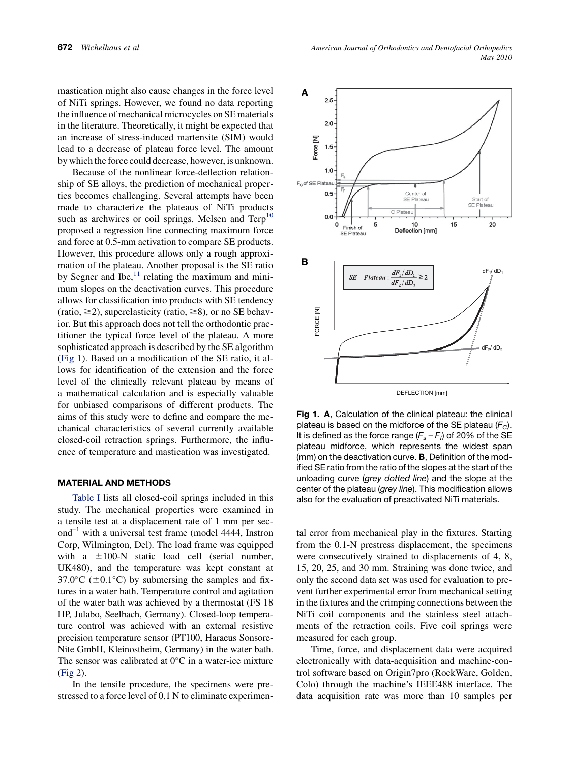<span id="page-1-0"></span>mastication might also cause changes in the force level of NiTi springs. However, we found no data reporting the influence of mechanical microcycles on SE materials in the literature. Theoretically, it might be expected that an increase of stress-induced martensite (SIM) would lead to a decrease of plateau force level. The amount by which the force could decrease, however, is unknown.

Because of the nonlinear force-deflection relationship of SE alloys, the prediction of mechanical properties becomes challenging. Several attempts have been made to characterize the plateaus of NiTi products such as archwires or coil springs. Melsen and  $Terp<sup>10</sup>$  $Terp<sup>10</sup>$  $Terp<sup>10</sup>$ proposed a regression line connecting maximum force and force at 0.5-mm activation to compare SE products. However, this procedure allows only a rough approximation of the plateau. Another proposal is the SE ratio by Segner and Ibe, $^{11}$  $^{11}$  $^{11}$  relating the maximum and minimum slopes on the deactivation curves. This procedure allows for classification into products with SE tendency (ratio,  $\geq$ 2), superelasticity (ratio,  $\geq$ 8), or no SE behavior. But this approach does not tell the orthodontic practitioner the typical force level of the plateau. A more sophisticated approach is described by the SE algorithm (Fig 1). Based on a modification of the SE ratio, it allows for identification of the extension and the force level of the clinically relevant plateau by means of a mathematical calculation and is especially valuable for unbiased comparisons of different products. The aims of this study were to define and compare the mechanical characteristics of several currently available closed-coil retraction springs. Furthermore, the influence of temperature and mastication was investigated.

#### MATERIAL AND METHODS

[Table I](#page-2-0) lists all closed-coil springs included in this study. The mechanical properties were examined in a tensile test at a displacement rate of 1 mm per sec- $\text{and}^{-1}$  with a universal test frame (model 4444, Instron Corp, Wilmington, Del). The load frame was equipped with a  $\pm 100$ -N static load cell (serial number, UK480), and the temperature was kept constant at 37.0 $\rm{^{\circ}C}$  ( $\rm{\pm}0.1\rm{^{\circ}C}$ ) by submersing the samples and fixtures in a water bath. Temperature control and agitation of the water bath was achieved by a thermostat (FS 18 HP, Julabo, Seelbach, Germany). Closed-loop temperature control was achieved with an external resistive precision temperature sensor (PT100, Haraeus Sonsore-Nite GmbH, Kleinostheim, Germany) in the water bath. The sensor was calibrated at  $0^{\circ}$ C in a water-ice mixture ([Fig 2](#page-2-0)).

In the tensile procedure, the specimens were prestressed to a force level of 0.1 N to eliminate experimen-



Fig 1. A, Calculation of the clinical plateau: the clinical plateau is based on the midforce of the SE plateau  $(F_C)$ . It is defined as the force range  $(F_s - F_f)$  of 20% of the SE plateau midforce, which represents the widest span (mm) on the deactivation curve. B, Definition of the modified SE ratio from the ratio of the slopes at the start of the unloading curve (*grey dotted line*) and the slope at the center of the plateau (*grey line*). This modification allows also for the evaluation of preactivated NiTi materials.

tal error from mechanical play in the fixtures. Starting from the 0.1-N prestress displacement, the specimens were consecutively strained to displacements of 4, 8, 15, 20, 25, and 30 mm. Straining was done twice, and only the second data set was used for evaluation to prevent further experimental error from mechanical setting in the fixtures and the crimping connections between the NiTi coil components and the stainless steel attachments of the retraction coils. Five coil springs were measured for each group.

Time, force, and displacement data were acquired electronically with data-acquisition and machine-control software based on Origin7pro (RockWare, Golden, Colo) through the machine's IEEE488 interface. The data acquisition rate was more than 10 samples per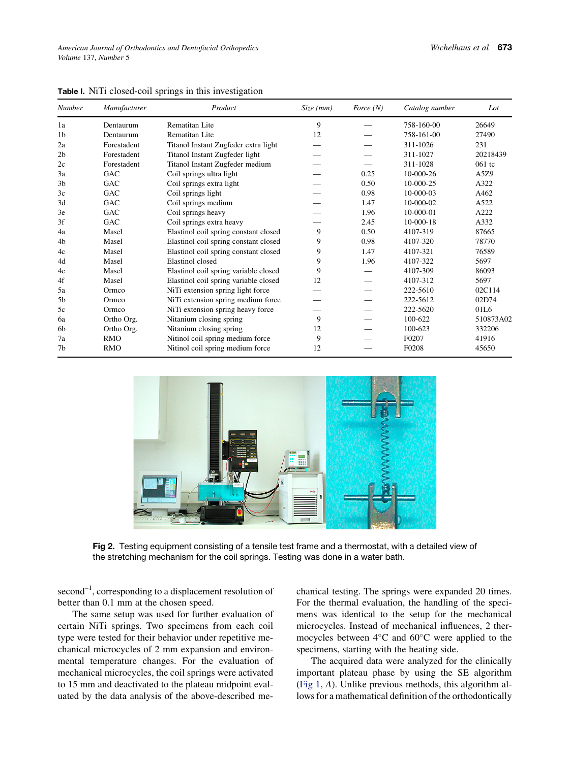| Number         | Manufacturer | Product                               | Size (mm) | Force $(N)$ | Catalog number | Lot       |
|----------------|--------------|---------------------------------------|-----------|-------------|----------------|-----------|
| 1a             | Dentaurum    | Rematitan Lite                        | 9         |             | 758-160-00     | 26649     |
| 1 <sub>b</sub> | Dentaurum    | Rematitan Lite                        | 12        |             | 758-161-00     | 27490     |
| 2a             | Forestadent  | Titanol Instant Zugfeder extra light  |           |             | 311-1026       | 231       |
| 2 <sub>b</sub> | Forestadent  | Titanol Instant Zugfeder light        |           |             | 311-1027       | 20218439  |
| 2c             | Forestadent  | Titanol Instant Zugfeder medium       |           |             | 311-1028       | 061 tc    |
| 3a             | <b>GAC</b>   | Coil springs ultra light              |           | 0.25        | 10-000-26      | A5Z9      |
| 3 <sub>b</sub> | <b>GAC</b>   | Coil springs extra light              |           | 0.50        | 10-000-25      | A322      |
| 3c             | GAC          | Coil springs light                    |           | 0.98        | 10-000-03      | A462      |
| 3d             | GAC          | Coil springs medium                   |           | 1.47        | 10-000-02      | A522      |
| 3e             | GAC          | Coil springs heavy                    |           | 1.96        | 10-000-01      | A222      |
| 3f             | <b>GAC</b>   | Coil springs extra heavy              |           | 2.45        | 10-000-18      | A332      |
| 4a             | Masel        | Elastinol coil spring constant closed | 9         | 0.50        | 4107-319       | 87665     |
| 4b             | Masel        | Elastinol coil spring constant closed | 9         | 0.98        | 4107-320       | 78770     |
| 4c             | Masel        | Elastinol coil spring constant closed | 9         | 1.47        | 4107-321       | 76589     |
| 4d             | Masel        | Elastinol closed                      | 9         | 1.96        | 4107-322       | 5697      |
| 4e             | Masel        | Elastinol coil spring variable closed | 9         |             | 4107-309       | 86093     |
| 4f             | Masel        | Elastinol coil spring variable closed | 12        |             | 4107-312       | 5697      |
| 5a             | Ormco        | NiTi extension spring light force     |           |             | 222-5610       | 02C114    |
| 5 <sub>b</sub> | Ormco        | NiTi extension spring medium force    |           |             | 222-5612       | 02D74     |
| 5c             | Ormco        | NiTi extension spring heavy force     |           |             | 222-5620       | 01L6      |
| 6a             | Ortho Org.   | Nitanium closing spring               | 9         |             | 100-622        | 510873A02 |
| 6b             | Ortho Org.   | Nitanium closing spring               | 12        |             | 100-623        | 332206    |
| 7a             | <b>RMO</b>   | Nitinol coil spring medium force      | 9         |             | F0207          | 41916     |
| 7b             | <b>RMO</b>   | Nitinol coil spring medium force      | 12        |             | F0208          | 45650     |

<span id="page-2-0"></span>Table I. NiTi closed-coil springs in this investigation



Fig 2. Testing equipment consisting of a tensile test frame and a thermostat, with a detailed view of the stretching mechanism for the coil springs. Testing was done in a water bath.

 $second^{-1}$ , corresponding to a displacement resolution of better than 0.1 mm at the chosen speed.

The same setup was used for further evaluation of certain NiTi springs. Two specimens from each coil type were tested for their behavior under repetitive mechanical microcycles of 2 mm expansion and environmental temperature changes. For the evaluation of mechanical microcycles, the coil springs were activated to 15 mm and deactivated to the plateau midpoint evaluated by the data analysis of the above-described mechanical testing. The springs were expanded 20 times. For the thermal evaluation, the handling of the specimens was identical to the setup for the mechanical microcycles. Instead of mechanical influences, 2 thermocycles between  $4^{\circ}$ C and  $60^{\circ}$ C were applied to the specimens, starting with the heating side.

The acquired data were analyzed for the clinically important plateau phase by using the SE algorithm ([Fig 1,](#page-1-0) A). Unlike previous methods, this algorithm allows for a mathematical definition of the orthodontically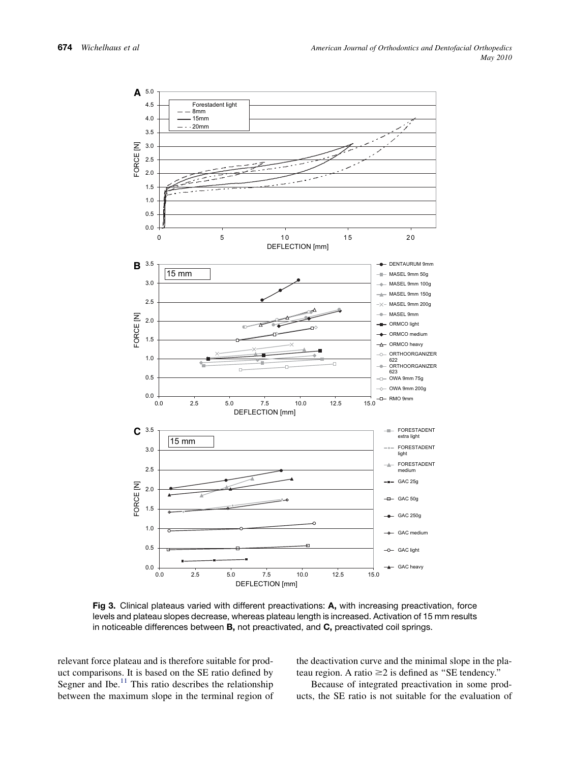<span id="page-3-0"></span>

Fig 3. Clinical plateaus varied with different preactivations: A, with increasing preactivation, force levels and plateau slopes decrease, whereas plateau length is increased. Activation of 15 mm results in noticeable differences between B, not preactivated, and C, preactivated coil springs.

relevant force plateau and is therefore suitable for product comparisons. It is based on the SE ratio defined by Segner and Ibe.<sup>[11](#page-7-0)</sup> This ratio describes the relationship between the maximum slope in the terminal region of the deactivation curve and the minimal slope in the plateau region. A ratio  $\geq$  2 is defined as "SE tendency."

Because of integrated preactivation in some products, the SE ratio is not suitable for the evaluation of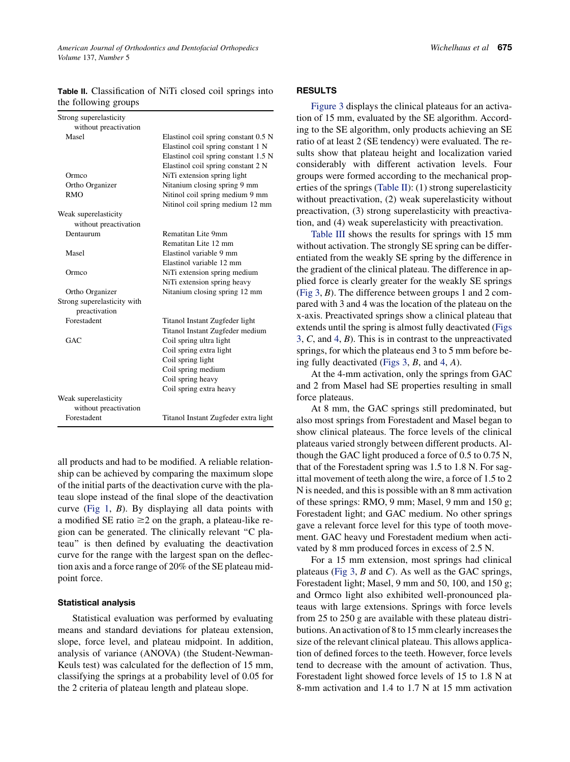Table II. Classification of NiTi closed coil springs into the following groups

| Strong superelasticity      |                                      |  |  |
|-----------------------------|--------------------------------------|--|--|
| without preactivation       |                                      |  |  |
| Masel                       | Elastinol coil spring constant 0.5 N |  |  |
|                             | Elastinol coil spring constant 1 N   |  |  |
|                             | Elastinol coil spring constant 1.5 N |  |  |
|                             | Elastinol coil spring constant 2 N   |  |  |
| Ormco                       | NiTi extension spring light          |  |  |
| Ortho Organizer             | Nitanium closing spring 9 mm         |  |  |
| <b>RMO</b>                  | Nitinol coil spring medium 9 mm      |  |  |
|                             | Nitinol coil spring medium 12 mm     |  |  |
| Weak superelasticity        |                                      |  |  |
| without preactivation       |                                      |  |  |
| Dentaurum                   | Rematitan Lite 9mm                   |  |  |
|                             | Rematitan Lite 12 mm                 |  |  |
| Masel                       | Elastinol variable 9 mm              |  |  |
|                             | Elastinol variable 12 mm             |  |  |
| Ormco                       | NiTi extension spring medium         |  |  |
|                             | NiTi extension spring heavy          |  |  |
| Ortho Organizer             | Nitanium closing spring 12 mm        |  |  |
| Strong superelasticity with |                                      |  |  |
| preactivation               |                                      |  |  |
| Forestadent                 | Titanol Instant Zugfeder light       |  |  |
|                             | Titanol Instant Zugfeder medium      |  |  |
| GAC                         | Coil spring ultra light              |  |  |
|                             | Coil spring extra light              |  |  |
|                             | Coil spring light                    |  |  |
|                             | Coil spring medium                   |  |  |
|                             | Coil spring heavy                    |  |  |
|                             | Coil spring extra heavy              |  |  |
| Weak superelasticity        |                                      |  |  |
| without preactivation       |                                      |  |  |
| Forestadent                 | Titanol Instant Zugfeder extra light |  |  |

all products and had to be modified. A reliable relationship can be achieved by comparing the maximum slope of the initial parts of the deactivation curve with the plateau slope instead of the final slope of the deactivation curve [\(Fig 1](#page-1-0), B). By displaying all data points with a modified  $SE$  ratio  $\geq$  2 on the graph, a plateau-like region can be generated. The clinically relevant ''C plateau'' is then defined by evaluating the deactivation curve for the range with the largest span on the deflection axis and a force range of 20% of the SE plateau midpoint force.

### Statistical analysis

Statistical evaluation was performed by evaluating means and standard deviations for plateau extension, slope, force level, and plateau midpoint. In addition, analysis of variance (ANOVA) (the Student-Newman-Keuls test) was calculated for the deflection of 15 mm, classifying the springs at a probability level of 0.05 for the 2 criteria of plateau length and plateau slope.

[Figure 3](#page-3-0) displays the clinical plateaus for an activation of 15 mm, evaluated by the SE algorithm. According to the SE algorithm, only products achieving an SE ratio of at least 2 (SE tendency) were evaluated. The results show that plateau height and localization varied considerably with different activation levels. Four groups were formed according to the mechanical properties of the springs (Table II): (1) strong superelasticity without preactivation, (2) weak superelasticity without preactivation, (3) strong superelasticity with preactivation, and (4) weak superelasticity with preactivation.

[Table III](#page-5-0) shows the results for springs with 15 mm without activation. The strongly SE spring can be differentiated from the weakly SE spring by the difference in the gradient of the clinical plateau. The difference in applied force is clearly greater for the weakly SE springs ([Fig 3](#page-3-0), B). The difference between groups 1 and 2 compared with 3 and 4 was the location of the plateau on the x-axis. Preactivated springs show a clinical plateau that extends until the spring is almost fully deactivated [\(Figs](#page-3-0) [3](#page-3-0), C, and [4](#page-6-0), B). This is in contrast to the unpreactivated springs, for which the plateaus end 3 to 5 mm before being fully deactivated (Figs  $3, B$ , and  $4, A$  $4, A$ ).

At the 4-mm activation, only the springs from GAC and 2 from Masel had SE properties resulting in small force plateaus.

At 8 mm, the GAC springs still predominated, but also most springs from Forestadent and Masel began to show clinical plateaus. The force levels of the clinical plateaus varied strongly between different products. Although the GAC light produced a force of 0.5 to 0.75 N, that of the Forestadent spring was 1.5 to 1.8 N. For sagittal movement of teeth along the wire, a force of 1.5 to 2 N is needed, and this is possible with an 8 mm activation of these springs: RMO, 9 mm; Masel, 9 mm and 150 g; Forestadent light; and GAC medium. No other springs gave a relevant force level for this type of tooth movement. GAC heavy und Forestadent medium when activated by 8 mm produced forces in excess of 2.5 N.

For a 15 mm extension, most springs had clinical plateaus [\(Fig 3](#page-3-0),  $B$  and  $C$ ). As well as the GAC springs, Forestadent light; Masel, 9 mm and 50, 100, and 150 g; and Ormco light also exhibited well-pronounced plateaus with large extensions. Springs with force levels from 25 to 250 g are available with these plateau distributions. An activation of 8 to 15 mm clearly increases the size of the relevant clinical plateau. This allows application of defined forces to the teeth. However, force levels tend to decrease with the amount of activation. Thus, Forestadent light showed force levels of 15 to 1.8 N at 8-mm activation and 1.4 to 1.7 N at 15 mm activation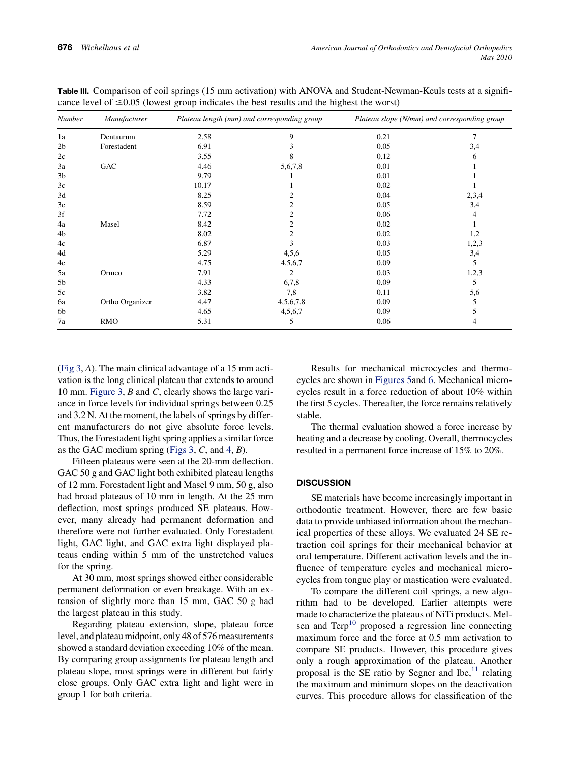| <b>Number</b>  | Manufacturer    | Plateau length (mm) and corresponding group |           | Plateau slope (N/mm) and corresponding group |       |
|----------------|-----------------|---------------------------------------------|-----------|----------------------------------------------|-------|
| 1a             | Dentaurum       | 2.58                                        | 9         | 0.21                                         | 7     |
| 2 <sub>b</sub> | Forestadent     | 6.91                                        | 3         | 0.05                                         | 3,4   |
| 2c             |                 | 3.55                                        | 8         | 0.12                                         | 6     |
| 3a             | GAC             | 4.46                                        | 5,6,7,8   | 0.01                                         |       |
| 3 <sub>b</sub> |                 | 9.79                                        | ı         | 0.01                                         |       |
| 3c             |                 | 10.17                                       |           | 0.02                                         |       |
| 3d             |                 | 8.25                                        | 2         | 0.04                                         | 2,3,4 |
| 3e             |                 | 8.59                                        | 2         | 0.05                                         | 3,4   |
| 3f             |                 | 7.72                                        | 2         | 0.06                                         | 4     |
| 4a             | Masel           | 8.42                                        | 2         | 0.02                                         |       |
| 4b             |                 | 8.02                                        | 2         | 0.02                                         | 1,2   |
| 4c             |                 | 6.87                                        | 3         | 0.03                                         | 1,2,3 |
| 4d             |                 | 5.29                                        | 4,5,6     | 0.05                                         | 3,4   |
| 4e             |                 | 4.75                                        | 4,5,6,7   | 0.09                                         | 5     |
| 5a             | Ormco           | 7.91                                        | 2         | 0.03                                         | 1,2,3 |
| 5b             |                 | 4.33                                        | 6,7,8     | 0.09                                         | 5     |
| 5c             |                 | 3.82                                        | 7,8       | 0.11                                         | 5,6   |
| 6a             | Ortho Organizer | 4.47                                        | 4,5,6,7,8 | 0.09                                         | 5     |
| 6b             |                 | 4.65                                        | 4,5,6,7   | 0.09                                         | 5     |
| 7a             | <b>RMO</b>      | 5.31                                        | 5         | 0.06                                         | 4     |

<span id="page-5-0"></span>Table III. Comparison of coil springs (15 mm activation) with ANOVA and Student-Newman-Keuls tests at a significance level of  $\leq 0.05$  (lowest group indicates the best results and the highest the worst)

([Fig 3](#page-3-0), A). The main clinical advantage of a 15 mm activation is the long clinical plateau that extends to around 10 mm. [Figure 3,](#page-3-0)  $B$  and  $C$ , clearly shows the large variance in force levels for individual springs between 0.25 and 3.2 N. At the moment, the labels of springs by different manufacturers do not give absolute force levels. Thus, the Forestadent light spring applies a similar force as the GAC medium spring (Figs  $3, C$ , and  $4, B$  $4, B$ ).

Fifteen plateaus were seen at the 20-mm deflection. GAC 50 g and GAC light both exhibited plateau lengths of 12 mm. Forestadent light and Masel 9 mm, 50 g, also had broad plateaus of 10 mm in length. At the 25 mm deflection, most springs produced SE plateaus. However, many already had permanent deformation and therefore were not further evaluated. Only Forestadent light, GAC light, and GAC extra light displayed plateaus ending within 5 mm of the unstretched values for the spring.

At 30 mm, most springs showed either considerable permanent deformation or even breakage. With an extension of slightly more than 15 mm, GAC 50 g had the largest plateau in this study.

Regarding plateau extension, slope, plateau force level, and plateau midpoint, only 48 of 576 measurements showed a standard deviation exceeding 10% of the mean. By comparing group assignments for plateau length and plateau slope, most springs were in different but fairly close groups. Only GAC extra light and light were in group 1 for both criteria.

Results for mechanical microcycles and thermocycles are shown in [Figures 5a](#page-6-0)nd [6.](#page-6-0) Mechanical microcycles result in a force reduction of about 10% within the first 5 cycles. Thereafter, the force remains relatively stable.

The thermal evaluation showed a force increase by heating and a decrease by cooling. Overall, thermocycles resulted in a permanent force increase of 15% to 20%.

## **DISCUSSION**

SE materials have become increasingly important in orthodontic treatment. However, there are few basic data to provide unbiased information about the mechanical properties of these alloys. We evaluated 24 SE retraction coil springs for their mechanical behavior at oral temperature. Different activation levels and the influence of temperature cycles and mechanical microcycles from tongue play or mastication were evaluated.

To compare the different coil springs, a new algorithm had to be developed. Earlier attempts were made to characterize the plateaus of NiTi products. Melsen and  $Terp<sup>10</sup>$  $Terp<sup>10</sup>$  $Terp<sup>10</sup>$  proposed a regression line connecting maximum force and the force at 0.5 mm activation to compare SE products. However, this procedure gives only a rough approximation of the plateau. Another proposal is the SE ratio by Segner and Ibe, $^{11}$  $^{11}$  $^{11}$  relating the maximum and minimum slopes on the deactivation curves. This procedure allows for classification of the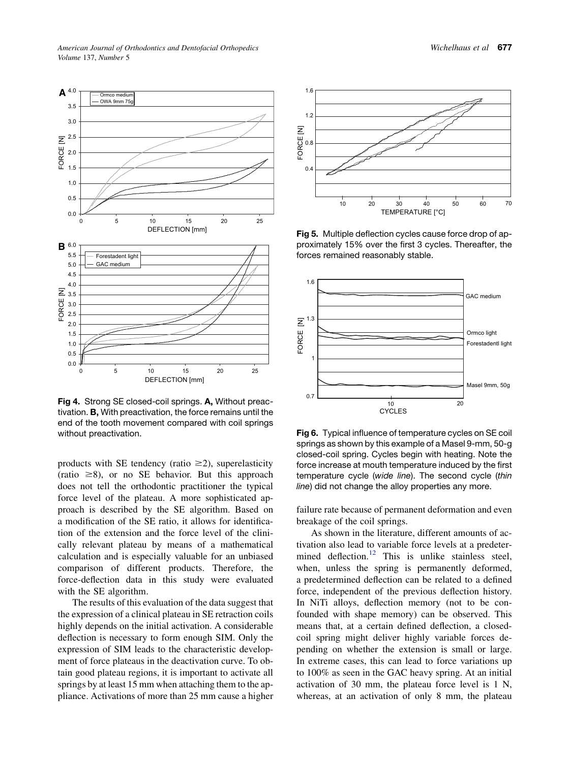<span id="page-6-0"></span>

Fig 4. Strong SE closed-coil springs. A, Without preactivation. B, With preactivation, the force remains until the end of the tooth movement compared with coil springs without preactivation.

products with SE tendency (ratio  $\geq$ 2), superelasticity (ratio  $\geq$ 8), or no SE behavior. But this approach does not tell the orthodontic practitioner the typical force level of the plateau. A more sophisticated approach is described by the SE algorithm. Based on a modification of the SE ratio, it allows for identification of the extension and the force level of the clinically relevant plateau by means of a mathematical calculation and is especially valuable for an unbiased comparison of different products. Therefore, the force-deflection data in this study were evaluated with the SE algorithm.

The results of this evaluation of the data suggest that the expression of a clinical plateau in SE retraction coils highly depends on the initial activation. A considerable deflection is necessary to form enough SIM. Only the expression of SIM leads to the characteristic development of force plateaus in the deactivation curve. To obtain good plateau regions, it is important to activate all springs by at least 15 mm when attaching them to the appliance. Activations of more than 25 mm cause a higher

![](_page_6_Figure_5.jpeg)

Fig 5. Multiple deflection cycles cause force drop of approximately 15% over the first 3 cycles. Thereafter, the forces remained reasonably stable.

![](_page_6_Figure_7.jpeg)

Fig 6. Typical influence of temperature cycles on SE coil springs as shown by this example of a Masel 9-mm, 50-g closed-coil spring. Cycles begin with heating. Note the force increase at mouth temperature induced by the first temperature cycle (*wide line*). The second cycle (*thin line*) did not change the alloy properties any more.

failure rate because of permanent deformation and even breakage of the coil springs.

As shown in the literature, different amounts of activation also lead to variable force levels at a predeter-mined deflection.<sup>[12](#page-7-0)</sup> This is unlike stainless steel, when, unless the spring is permanently deformed, a predetermined deflection can be related to a defined force, independent of the previous deflection history. In NiTi alloys, deflection memory (not to be confounded with shape memory) can be observed. This means that, at a certain defined deflection, a closedcoil spring might deliver highly variable forces depending on whether the extension is small or large. In extreme cases, this can lead to force variations up to 100% as seen in the GAC heavy spring. At an initial activation of 30 mm, the plateau force level is 1 N, whereas, at an activation of only 8 mm, the plateau